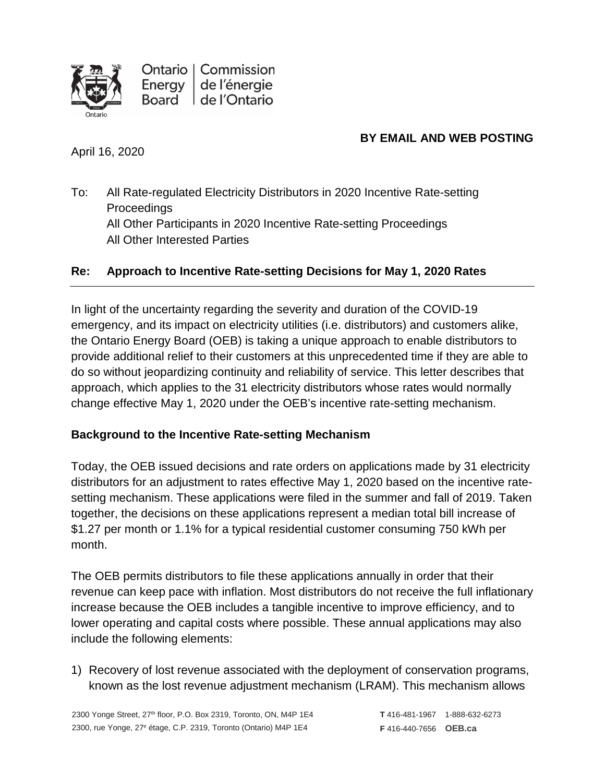

Ontario | Commission de l'énergie Energy de l'Ontario Board

# **BY EMAIL AND WEB POSTING**

April 16, 2020

To: All Rate-regulated Electricity Distributors in 2020 Incentive Rate-setting **Proceedings** All Other Participants in 2020 Incentive Rate-setting Proceedings All Other Interested Parties

# **Re: Approach to Incentive Rate-setting Decisions for May 1, 2020 Rates**

In light of the uncertainty regarding the severity and duration of the COVID-19 emergency, and its impact on electricity utilities (i.e. distributors) and customers alike, the Ontario Energy Board (OEB) is taking a unique approach to enable distributors to provide additional relief to their customers at this unprecedented time if they are able to do so without jeopardizing continuity and reliability of service. This letter describes that approach, which applies to the 31 electricity distributors whose rates would normally change effective May 1, 2020 under the OEB's incentive rate-setting mechanism.

# **Background to the Incentive Rate-setting Mechanism**

Today, the OEB issued decisions and rate orders on applications made by 31 electricity distributors for an adjustment to rates effective May 1, 2020 based on the incentive ratesetting mechanism. These applications were filed in the summer and fall of 2019. Taken together, the decisions on these applications represent a median total bill increase of \$1.27 per month or 1.1% for a typical residential customer consuming 750 kWh per month.

The OEB permits distributors to file these applications annually in order that their revenue can keep pace with inflation. Most distributors do not receive the full inflationary increase because the OEB includes a tangible incentive to improve efficiency, and to lower operating and capital costs where possible. These annual applications may also include the following elements:

1) Recovery of lost revenue associated with the deployment of conservation programs, known as the lost revenue adjustment mechanism (LRAM). This mechanism allows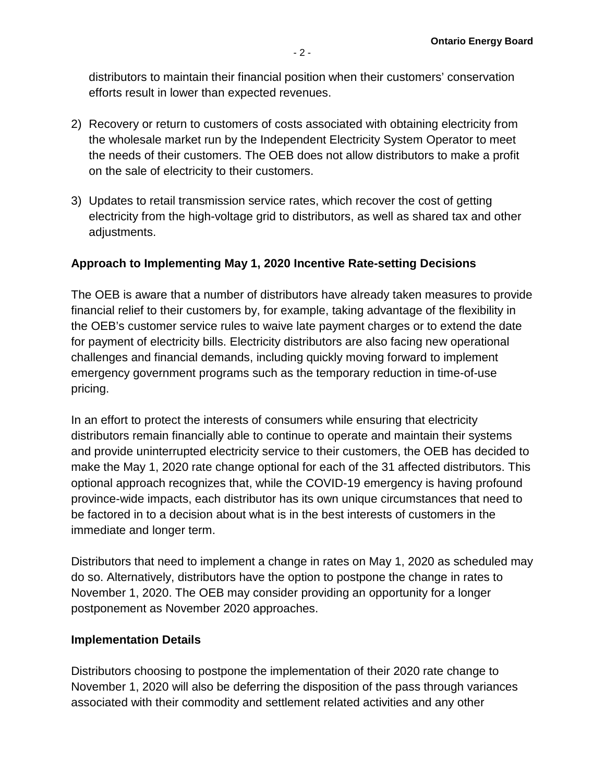distributors to maintain their financial position when their customers' conservation efforts result in lower than expected revenues.

- 2) Recovery or return to customers of costs associated with obtaining electricity from the wholesale market run by the Independent Electricity System Operator to meet the needs of their customers. The OEB does not allow distributors to make a profit on the sale of electricity to their customers.
- 3) Updates to retail transmission service rates, which recover the cost of getting electricity from the high-voltage grid to distributors, as well as shared tax and other adjustments.

# **Approach to Implementing May 1, 2020 Incentive Rate-setting Decisions**

The OEB is aware that a number of distributors have already taken measures to provide financial relief to their customers by, for example, taking advantage of the flexibility in the OEB's customer service rules to waive late payment charges or to extend the date for payment of electricity bills. Electricity distributors are also facing new operational challenges and financial demands, including quickly moving forward to implement emergency government programs such as the temporary reduction in time-of-use pricing.

In an effort to protect the interests of consumers while ensuring that electricity distributors remain financially able to continue to operate and maintain their systems and provide uninterrupted electricity service to their customers, the OEB has decided to make the May 1, 2020 rate change optional for each of the 31 affected distributors. This optional approach recognizes that, while the COVID-19 emergency is having profound province-wide impacts, each distributor has its own unique circumstances that need to be factored in to a decision about what is in the best interests of customers in the immediate and longer term.

Distributors that need to implement a change in rates on May 1, 2020 as scheduled may do so. Alternatively, distributors have the option to postpone the change in rates to November 1, 2020. The OEB may consider providing an opportunity for a longer postponement as November 2020 approaches.

## **Implementation Details**

Distributors choosing to postpone the implementation of their 2020 rate change to November 1, 2020 will also be deferring the disposition of the pass through variances associated with their commodity and settlement related activities and any other